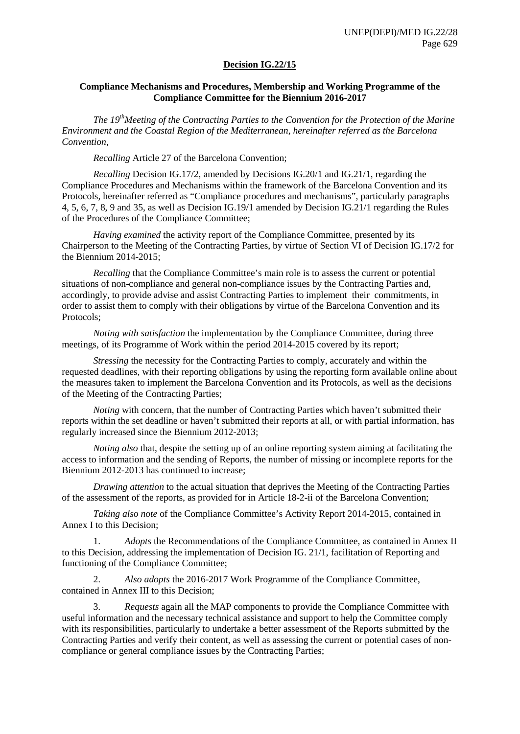### **Decision IG.22/15**

#### **Compliance Mechanisms and Procedures, Membership and Working Programme of the Compliance Committee for the Biennium 2016-2017**

*The 19thMeeting of the Contracting Parties to the Convention for the Protection of the Marine Environment and the Coastal Region of the Mediterranean, hereinafter referred as the Barcelona Convention,*

*Recalling* Article 27 of the Barcelona Convention;

*Recalling* Decision IG.17/2, amended by Decisions IG.20/1 and IG.21/1, regarding the Compliance Procedures and Mechanisms within the framework of the Barcelona Convention and its Protocols, hereinafter referred as "Compliance procedures and mechanisms", particularly paragraphs 4, 5, 6, 7, 8, 9 and 35, as well as Decision IG.19/1 amended by Decision IG.21/1 regarding the Rules of the Procedures of the Compliance Committee;

*Having examined* the activity report of the Compliance Committee, presented by its Chairperson to the Meeting of the Contracting Parties, by virtue of Section VI of Decision IG.17/2 for the Biennium 2014-2015;

*Recalling* that the Compliance Committee's main role is to assess the current or potential situations of non-compliance and general non-compliance issues by the Contracting Parties and, accordingly, to provide advise and assist Contracting Parties to implement their commitments, in order to assist them to comply with their obligations by virtue of the Barcelona Convention and its Protocols;

*Noting with satisfaction* the implementation by the Compliance Committee, during three meetings, of its Programme of Work within the period 2014-2015 covered by its report;

*Stressing* the necessity for the Contracting Parties to comply, accurately and within the requested deadlines, with their reporting obligations by using the reporting form available online about the measures taken to implement the Barcelona Convention and its Protocols, as well as the decisions of the Meeting of the Contracting Parties;

*Noting* with concern, that the number of Contracting Parties which haven't submitted their reports within the set deadline or haven't submitted their reports at all, or with partial information, has regularly increased since the Biennium 2012-2013;

*Noting also* that, despite the setting up of an online reporting system aiming at facilitating the access to information and the sending of Reports, the number of missing or incomplete reports for the Biennium 2012-2013 has continued to increase;

*Drawing attention* to the actual situation that deprives the Meeting of the Contracting Parties of the assessment of the reports, as provided for in Article 18-2-ii of the Barcelona Convention;

*Taking also note* of the Compliance Committee's Activity Report 2014-2015, contained in Annex I to this Decision;

1. *Adopts* the Recommendations of the Compliance Committee, as contained in Annex II to this Decision, addressing the implementation of Decision IG. 21/1, facilitation of Reporting and functioning of the Compliance Committee;

2. *Also adopts* the 2016-2017 Work Programme of the Compliance Committee, contained in Annex III to this Decision;

3. *Requests* again all the MAP components to provide the Compliance Committee with useful information and the necessary technical assistance and support to help the Committee comply with its responsibilities, particularly to undertake a better assessment of the Reports submitted by the Contracting Parties and verify their content, as well as assessing the current or potential cases of noncompliance or general compliance issues by the Contracting Parties;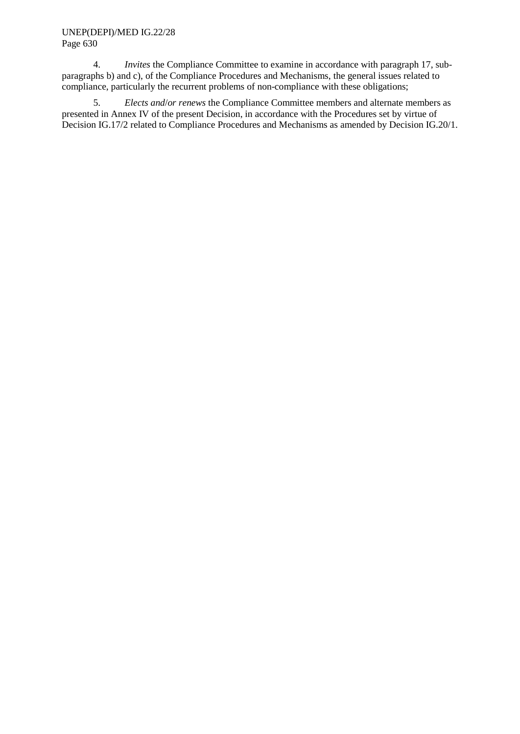#### UNEP(DEPI)/MED IG.22/28 Page 630

4. *Invites* the Compliance Committee to examine in accordance with paragraph 17, subparagraphs b) and c), of the Compliance Procedures and Mechanisms, the general issues related to compliance, particularly the recurrent problems of non-compliance with these obligations;

5. *Elects and*/*or renews* the Compliance Committee members and alternate members as presented in Annex IV of the present Decision, in accordance with the Procedures set by virtue of Decision IG.17/2 related to Compliance Procedures and Mechanisms as amended by Decision IG.20/1.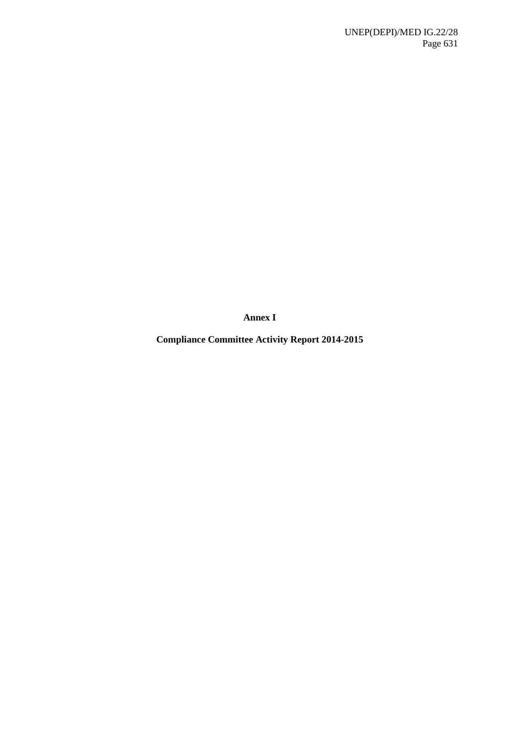**Annex I**

**Compliance Committee Activity Report 2014-2015**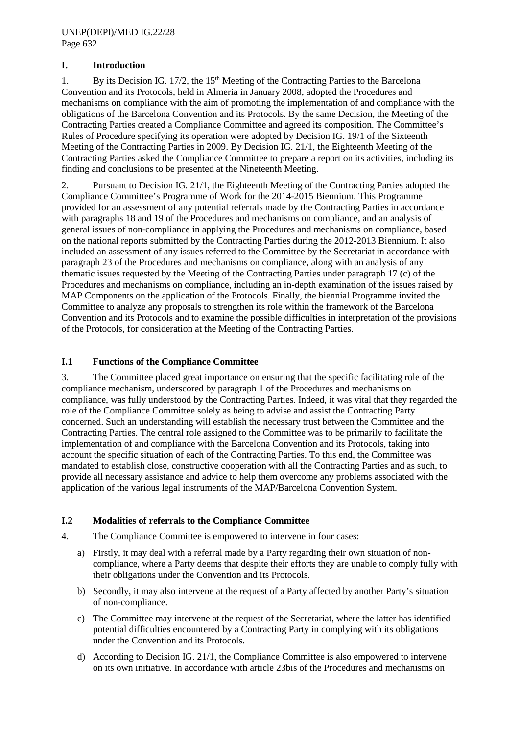# **I. Introduction**

1. By its Decision IG. 17/2, the 15<sup>th</sup> Meeting of the Contracting Parties to the Barcelona Convention and its Protocols, held in Almeria in January 2008, adopted the Procedures and mechanisms on compliance with the aim of promoting the implementation of and compliance with the obligations of the Barcelona Convention and its Protocols. By the same Decision, the Meeting of the Contracting Parties created a Compliance Committee and agreed its composition. The Committee's Rules of Procedure specifying its operation were adopted by Decision IG. 19/1 of the Sixteenth Meeting of the Contracting Parties in 2009. By Decision IG. 21/1, the Eighteenth Meeting of the Contracting Parties asked the Compliance Committee to prepare a report on its activities, including its finding and conclusions to be presented at the Nineteenth Meeting.

2. Pursuant to Decision IG. 21/1, the Eighteenth Meeting of the Contracting Parties adopted the Compliance Committee's Programme of Work for the 2014-2015 Biennium. This Programme provided for an assessment of any potential referrals made by the Contracting Parties in accordance with paragraphs 18 and 19 of the Procedures and mechanisms on compliance, and an analysis of general issues of non-compliance in applying the Procedures and mechanisms on compliance, based on the national reports submitted by the Contracting Parties during the 2012-2013 Biennium. It also included an assessment of any issues referred to the Committee by the Secretariat in accordance with paragraph 23 of the Procedures and mechanisms on compliance, along with an analysis of any thematic issues requested by the Meeting of the Contracting Parties under paragraph 17 (c) of the Procedures and mechanisms on compliance, including an in-depth examination of the issues raised by MAP Components on the application of the Protocols. Finally, the biennial Programme invited the Committee to analyze any proposals to strengthen its role within the framework of the Barcelona Convention and its Protocols and to examine the possible difficulties in interpretation of the provisions of the Protocols, for consideration at the Meeting of the Contracting Parties.

# **I.1 Functions of the Compliance Committee**

3. The Committee placed great importance on ensuring that the specific facilitating role of the compliance mechanism, underscored by paragraph 1 of the Procedures and mechanisms on compliance, was fully understood by the Contracting Parties. Indeed, it was vital that they regarded the role of the Compliance Committee solely as being to advise and assist the Contracting Party concerned. Such an understanding will establish the necessary trust between the Committee and the Contracting Parties. The central role assigned to the Committee was to be primarily to facilitate the implementation of and compliance with the Barcelona Convention and its Protocols, taking into account the specific situation of each of the Contracting Parties. To this end, the Committee was mandated to establish close, constructive cooperation with all the Contracting Parties and as such, to provide all necessary assistance and advice to help them overcome any problems associated with the application of the various legal instruments of the MAP/Barcelona Convention System.

#### **I.2 Modalities of referrals to the Compliance Committee**

- 4. The Compliance Committee is empowered to intervene in four cases:
	- a) Firstly, it may deal with a referral made by a Party regarding their own situation of noncompliance, where a Party deems that despite their efforts they are unable to comply fully with their obligations under the Convention and its Protocols.
	- b) Secondly, it may also intervene at the request of a Party affected by another Party's situation of non-compliance.
	- c) The Committee may intervene at the request of the Secretariat, where the latter has identified potential difficulties encountered by a Contracting Party in complying with its obligations under the Convention and its Protocols.
	- d) According to Decision IG. 21/1, the Compliance Committee is also empowered to intervene on its own initiative. In accordance with article 23bis of the Procedures and mechanisms on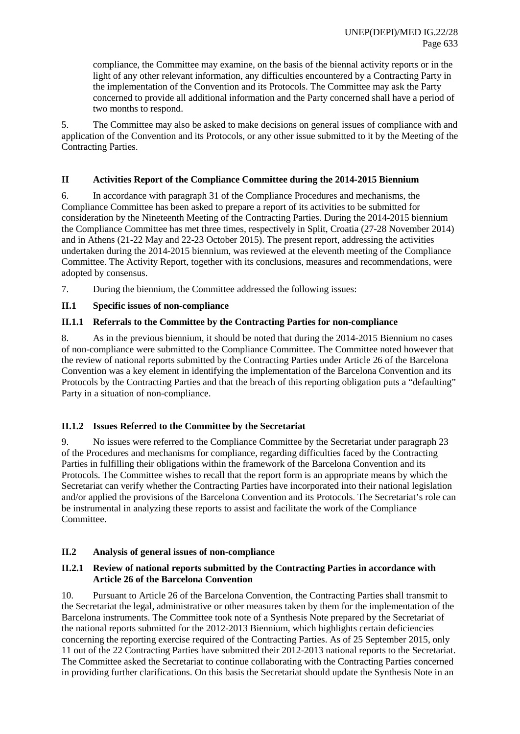compliance, the Committee may examine, on the basis of the biennal activity reports or in the light of any other relevant information, any difficulties encountered by a Contracting Party in the implementation of the Convention and its Protocols. The Committee may ask the Party concerned to provide all additional information and the Party concerned shall have a period of two months to respond.

5. The Committee may also be asked to make decisions on general issues of compliance with and application of the Convention and its Protocols, or any other issue submitted to it by the Meeting of the Contracting Parties.

## **II Activities Report of the Compliance Committee during the 2014-2015 Biennium**

6. In accordance with paragraph 31 of the Compliance Procedures and mechanisms, the Compliance Committee has been asked to prepare a report of its activities to be submitted for consideration by the Nineteenth Meeting of the Contracting Parties. During the 2014-2015 biennium the Compliance Committee has met three times, respectively in Split, Croatia (27-28 November 2014) and in Athens (21-22 May and 22-23 October 2015). The present report, addressing the activities undertaken during the 2014-2015 biennium, was reviewed at the eleventh meeting of the Compliance Committee. The Activity Report, together with its conclusions, measures and recommendations, were adopted by consensus.

7. During the biennium, the Committee addressed the following issues:

### **II.1 Specific issues of non-compliance**

### **II.1.1 Referrals to the Committee by the Contracting Parties for non-compliance**

8. As in the previous biennium, it should be noted that during the 2014-2015 Biennium no cases of non-compliance were submitted to the Compliance Committee. The Committee noted however that the review of national reports submitted by the Contracting Parties under Article 26 of the Barcelona Convention was a key element in identifying the implementation of the Barcelona Convention and its Protocols by the Contracting Parties and that the breach of this reporting obligation puts a "defaulting" Party in a situation of non-compliance.

# **II.1.2 Issues Referred to the Committee by the Secretariat**

9. No issues were referred to the Compliance Committee by the Secretariat under paragraph 23 of the Procedures and mechanisms for compliance, regarding difficulties faced by the Contracting Parties in fulfilling their obligations within the framework of the Barcelona Convention and its Protocols. The Committee wishes to recall that the report form is an appropriate means by which the Secretariat can verify whether the Contracting Parties have incorporated into their national legislation and/or applied the provisions of the Barcelona Convention and its Protocols. The Secretariat's role can be instrumental in analyzing these reports to assist and facilitate the work of the Compliance Committee.

#### **II.2 Analysis of general issues of non-compliance**

### **II.2.1 Review of national reports submitted by the Contracting Parties in accordance with Article 26 of the Barcelona Convention**

10. Pursuant to Article 26 of the Barcelona Convention, the Contracting Parties shall transmit to the Secretariat the legal, administrative or other measures taken by them for the implementation of the Barcelona instruments. The Committee took note of a Synthesis Note prepared by the Secretariat of the national reports submitted for the 2012-2013 Biennium, which highlights certain deficiencies concerning the reporting exercise required of the Contracting Parties. As of 25 September 2015, only 11 out of the 22 Contracting Parties have submitted their 2012-2013 national reports to the Secretariat. The Committee asked the Secretariat to continue collaborating with the Contracting Parties concerned in providing further clarifications. On this basis the Secretariat should update the Synthesis Note in an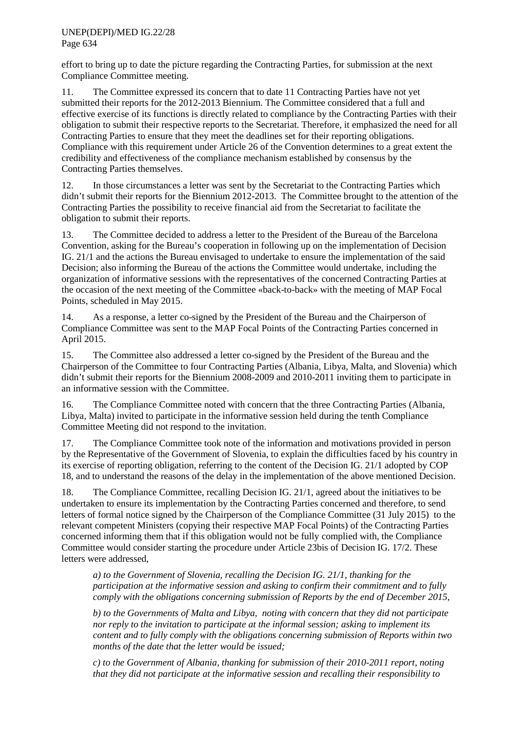effort to bring up to date the picture regarding the Contracting Parties, for submission at the next Compliance Committee meeting.

11. The Committee expressed its concern that to date 11 Contracting Parties have not yet submitted their reports for the 2012-2013 Biennium. The Committee considered that a full and effective exercise of its functions is directly related to compliance by the Contracting Parties with their obligation to submit their respective reports to the Secretariat. Therefore, it emphasized the need for all Contracting Parties to ensure that they meet the deadlines set for their reporting obligations. Compliance with this requirement under Article 26 of the Convention determines to a great extent the credibility and effectiveness of the compliance mechanism established by consensus by the Contracting Parties themselves.

12. In those circumstances a letter was sent by the Secretariat to the Contracting Parties which didn't submit their reports for the Biennium 2012-2013. The Committee brought to the attention of the Contracting Parties the possibility to receive financial aid from the Secretariat to facilitate the obligation to submit their reports.

13. The Committee decided to address a letter to the President of the Bureau of the Barcelona Convention, asking for the Bureau's cooperation in following up on the implementation of Decision IG. 21/1 and the actions the Bureau envisaged to undertake to ensure the implementation of the said Decision; also informing the Bureau of the actions the Committee would undertake, including the organization of informative sessions with the representatives of the concerned Contracting Parties at the occasion of the next meeting of the Committee «back-to-back» with the meeting of MAP Focal Points, scheduled in May 2015.

14. As a response, a letter co-signed by the President of the Bureau and the Chairperson of Compliance Committee was sent to the MAP Focal Points of the Contracting Parties concerned in April 2015.

15. The Committee also addressed a letter co-signed by the President of the Bureau and the Chairperson of the Committee to four Contracting Parties (Albania, Libya, Malta, and Slovenia) which didn't submit their reports for the Biennium 2008-2009 and 2010-2011 inviting them to participate in an informative session with the Committee.

16. The Compliance Committee noted with concern that the three Contracting Parties (Albania, Libya, Malta) invited to participate in the informative session held during the tenth Compliance Committee Meeting did not respond to the invitation.

17. The Compliance Committee took note of the information and motivations provided in person by the Representative of the Government of Slovenia, to explain the difficulties faced by his country in its exercise of reporting obligation, referring to the content of the Decision IG. 21/1 adopted by COP 18, and to understand the reasons of the delay in the implementation of the above mentioned Decision.

18. The Compliance Committee, recalling Decision IG. 21/1, agreed about the initiatives to be undertaken to ensure its implementation by the Contracting Parties concerned and therefore, to send letters of formal notice signed by the Chairperson of the Compliance Committee (31 July 2015) to the relevant competent Ministers (copying their respective MAP Focal Points) of the Contracting Parties concerned informing them that if this obligation would not be fully complied with, the Compliance Committee would consider starting the procedure under Article 23bis of Decision IG. 17/2. These letters were addressed,

*a) to the Government of Slovenia, recalling the Decision IG. 21/1, thanking for the participation at the informative session and asking to confirm their commitment and to fully comply with the obligations concerning submission of Reports by the end of December 2015,* 

*b) to the Governments of Malta and Libya, noting with concern that they did not participate nor reply to the invitation to participate at the informal session; asking to implement its content and to fully comply with the obligations concerning submission of Reports within two months of the date that the letter would be issued;*

*c) to the Government of Albania, thanking for submission of their 2010-2011 report, noting that they did not participate at the informative session and recalling their responsibility to*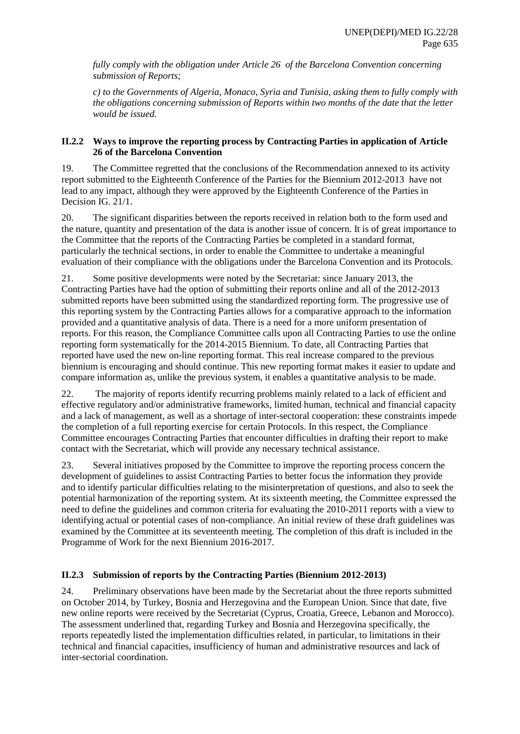*fully comply with the obligation under Article 26 of the Barcelona Convention concerning submission of Reports;*

*c) to the Governments of Algeria, Monaco, Syria and Tunisia, asking them to fully comply with the obligations concerning submission of Reports within two months of the date that the letter would be issued.*

### **II.2.2 Ways to improve the reporting process by Contracting Parties in application of Article 26 of the Barcelona Convention**

19. The Committee regretted that the conclusions of the Recommendation annexed to its activity report submitted to the Eighteenth Conference of the Parties for the Biennium 2012-2013 have not lead to any impact, although they were approved by the Eighteenth Conference of the Parties in Decision IG. 21/1.

20. The significant disparities between the reports received in relation both to the form used and the nature, quantity and presentation of the data is another issue of concern. It is of great importance to the Committee that the reports of the Contracting Parties be completed in a standard format, particularly the technical sections, in order to enable the Committee to undertake a meaningful evaluation of their compliance with the obligations under the Barcelona Convention and its Protocols.

21. Some positive developments were noted by the Secretariat: since January 2013, the Contracting Parties have had the option of submitting their reports online and all of the 2012-2013 submitted reports have been submitted using the standardized reporting form. The progressive use of this reporting system by the Contracting Parties allows for a comparative approach to the information provided and a quantitative analysis of data. There is a need for a more uniform presentation of reports. For this reason, the Compliance Committee calls upon all Contracting Parties to use the online reporting form systematically for the 2014-2015 Biennium. To date, all Contracting Parties that reported have used the new on-line reporting format. This real increase compared to the previous biennium is encouraging and should continue. This new reporting format makes it easier to update and compare information as, unlike the previous system, it enables a quantitative analysis to be made.

22. The majority of reports identify recurring problems mainly related to a lack of efficient and effective regulatory and/or administrative frameworks, limited human, technical and financial capacity and a lack of management, as well as a shortage of inter-sectoral cooperation: these constraints impede the completion of a full reporting exercise for certain Protocols. In this respect, the Compliance Committee encourages Contracting Parties that encounter difficulties in drafting their report to make contact with the Secretariat, which will provide any necessary technical assistance.

23. Several initiatives proposed by the Committee to improve the reporting process concern the development of guidelines to assist Contracting Parties to better focus the information they provide and to identify particular difficulties relating to the misinterpretation of questions, and also to seek the potential harmonization of the reporting system. At its sixteenth meeting, the Committee expressed the need to define the guidelines and common criteria for evaluating the 2010-2011 reports with a view to identifying actual or potential cases of non-compliance. An initial review of these draft guidelines was examined by the Committee at its seventeenth meeting. The completion of this draft is included in the Programme of Work for the next Biennium 2016-2017.

# **II.2.3 Submission of reports by the Contracting Parties (Biennium 2012-2013)**

24. Preliminary observations have been made by the Secretariat about the three reports submitted on October 2014, by Turkey, Bosnia and Herzegovina and the European Union. Since that date, five new online reports were received by the Secretariat (Cyprus, Croatia, Greece, Lebanon and Morocco). The assessment underlined that, regarding Turkey and Bosnia and Herzegovina specifically, the reports repeatedly listed the implementation difficulties related, in particular, to limitations in their technical and financial capacities, insufficiency of human and administrative resources and lack of inter-sectorial coordination.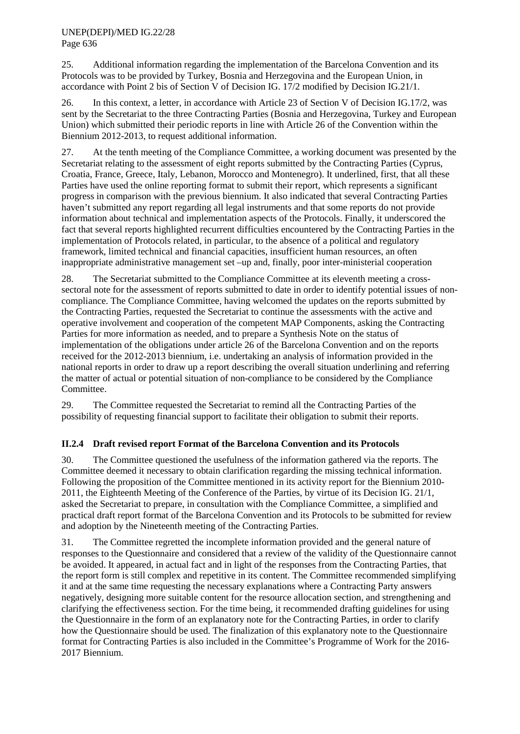25. Additional information regarding the implementation of the Barcelona Convention and its Protocols was to be provided by Turkey, Bosnia and Herzegovina and the European Union, in accordance with Point 2 bis of Section V of Decision IG. 17/2 modified by Decision IG.21/1.

26. In this context, a letter, in accordance with Article 23 of Section V of Decision IG.17/2, was sent by the Secretariat to the three Contracting Parties (Bosnia and Herzegovina, Turkey and European Union) which submitted their periodic reports in line with Article 26 of the Convention within the Biennium 2012-2013, to request additional information.

27. At the tenth meeting of the Compliance Committee, a working document was presented by the Secretariat relating to the assessment of eight reports submitted by the Contracting Parties (Cyprus, Croatia, France, Greece, Italy, Lebanon, Morocco and Montenegro). It underlined, first, that all these Parties have used the online reporting format to submit their report, which represents a significant progress in comparison with the previous biennium. It also indicated that several Contracting Parties haven't submitted any report regarding all legal instruments and that some reports do not provide information about technical and implementation aspects of the Protocols. Finally, it underscored the fact that several reports highlighted recurrent difficulties encountered by the Contracting Parties in the implementation of Protocols related, in particular, to the absence of a political and regulatory framework, limited technical and financial capacities, insufficient human resources, an often inappropriate administrative management set –up and, finally, poor inter-ministerial cooperation

28. The Secretariat submitted to the Compliance Committee at its eleventh meeting a crosssectoral note for the assessment of reports submitted to date in order to identify potential issues of noncompliance. The Compliance Committee, having welcomed the updates on the reports submitted by the Contracting Parties, requested the Secretariat to continue the assessments with the active and operative involvement and cooperation of the competent MAP Components, asking the Contracting Parties for more information as needed, and to prepare a Synthesis Note on the status of implementation of the obligations under article 26 of the Barcelona Convention and on the reports received for the 2012-2013 biennium, i.e. undertaking an analysis of information provided in the national reports in order to draw up a report describing the overall situation underlining and referring the matter of actual or potential situation of non-compliance to be considered by the Compliance Committee.

29. The Committee requested the Secretariat to remind all the Contracting Parties of the possibility of requesting financial support to facilitate their obligation to submit their reports.

# **II.2.4 Draft revised report Format of the Barcelona Convention and its Protocols**

30. The Committee questioned the usefulness of the information gathered via the reports. The Committee deemed it necessary to obtain clarification regarding the missing technical information. Following the proposition of the Committee mentioned in its activity report for the Biennium 2010- 2011, the Eighteenth Meeting of the Conference of the Parties, by virtue of its Decision IG. 21/1, asked the Secretariat to prepare, in consultation with the Compliance Committee, a simplified and practical draft report format of the Barcelona Convention and its Protocols to be submitted for review and adoption by the Nineteenth meeting of the Contracting Parties.

31. The Committee regretted the incomplete information provided and the general nature of responses to the Questionnaire and considered that a review of the validity of the Questionnaire cannot be avoided. It appeared, in actual fact and in light of the responses from the Contracting Parties, that the report form is still complex and repetitive in its content. The Committee recommended simplifying it and at the same time requesting the necessary explanations where a Contracting Party answers negatively, designing more suitable content for the resource allocation section, and strengthening and clarifying the effectiveness section. For the time being, it recommended drafting guidelines for using the Questionnaire in the form of an explanatory note for the Contracting Parties, in order to clarify how the Questionnaire should be used. The finalization of this explanatory note to the Questionnaire format for Contracting Parties is also included in the Committee's Programme of Work for the 2016- 2017 Biennium.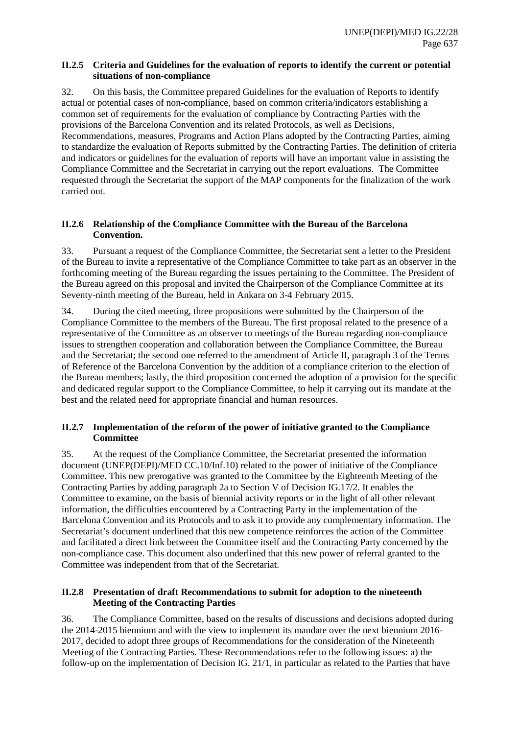### **II.2.5 Criteria and Guidelines for the evaluation of reports to identify the current or potential situations of non-compliance**

32. On this basis, the Committee prepared Guidelines for the evaluation of Reports to identify actual or potential cases of non-compliance, based on common criteria/indicators establishing a common set of requirements for the evaluation of compliance by Contracting Parties with the provisions of the Barcelona Convention and its related Protocols, as well as Decisions, Recommendations, measures, Programs and Action Plans adopted by the Contracting Parties, aiming to standardize the evaluation of Reports submitted by the Contracting Parties. The definition of criteria and indicators or guidelines for the evaluation of reports will have an important value in assisting the Compliance Committee and the Secretariat in carrying out the report evaluations. The Committee requested through the Secretariat the support of the MAP components for the finalization of the work carried out.

### **II.2.6 Relationship of the Compliance Committee with the Bureau of the Barcelona Convention.**

33. Pursuant a request of the Compliance Committee, the Secretariat sent a letter to the President of the Bureau to invite a representative of the Compliance Committee to take part as an observer in the forthcoming meeting of the Bureau regarding the issues pertaining to the Committee. The President of the Bureau agreed on this proposal and invited the Chairperson of the Compliance Committee at its Seventy-ninth meeting of the Bureau, held in Ankara on 3-4 February 2015.

34. During the cited meeting, three propositions were submitted by the Chairperson of the Compliance Committee to the members of the Bureau. The first proposal related to the presence of a representative of the Committee as an observer to meetings of the Bureau regarding non-compliance issues to strengthen cooperation and collaboration between the Compliance Committee, the Bureau and the Secretariat; the second one referred to the amendment of Article II, paragraph 3 of the Terms of Reference of the Barcelona Convention by the addition of a compliance criterion to the election of the Bureau members; lastly, the third proposition concerned the adoption of a provision for the specific and dedicated regular support to the Compliance Committee, to help it carrying out its mandate at the best and the related need for appropriate financial and human resources.

# **II.2.7 Implementation of the reform of the power of initiative granted to the Compliance Committee**

35. At the request of the Compliance Committee, the Secretariat presented the information document (UNEP(DEPI)/MED CC.10/Inf.10) related to the power of initiative of the Compliance Committee. This new prerogative was granted to the Committee by the Eighteenth Meeting of the Contracting Parties by adding paragraph 2a to Section V of Decision IG.17/2. It enables the Committee to examine, on the basis of biennial activity reports or in the light of all other relevant information, the difficulties encountered by a Contracting Party in the implementation of the Barcelona Convention and its Protocols and to ask it to provide any complementary information. The Secretariat's document underlined that this new competence reinforces the action of the Committee and facilitated a direct link between the Committee itself and the Contracting Party concerned by the non-compliance case. This document also underlined that this new power of referral granted to the Committee was independent from that of the Secretariat.

# **II.2.8 Presentation of draft Recommendations to submit for adoption to the nineteenth Meeting of the Contracting Parties**

36. The Compliance Committee, based on the results of discussions and decisions adopted during the 2014-2015 biennium and with the view to implement its mandate over the next biennium 2016- 2017, decided to adopt three groups of Recommendations for the consideration of the Nineteenth Meeting of the Contracting Parties. These Recommendations refer to the following issues: a) the follow-up on the implementation of Decision IG. 21/1, in particular as related to the Parties that have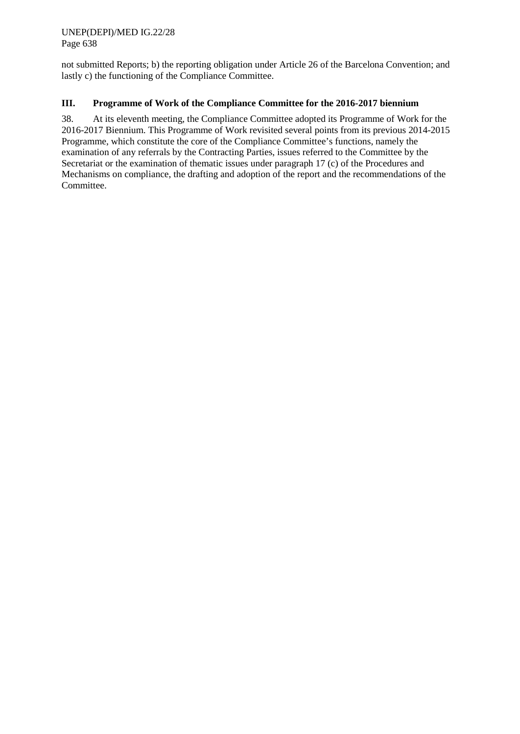not submitted Reports; b) the reporting obligation under Article 26 of the Barcelona Convention; and lastly c) the functioning of the Compliance Committee.

# **III. Programme of Work of the Compliance Committee for the 2016-2017 biennium**

38. At its eleventh meeting, the Compliance Committee adopted its Programme of Work for the 2016-2017 Biennium. This Programme of Work revisited several points from its previous 2014-2015 Programme, which constitute the core of the Compliance Committee's functions, namely the examination of any referrals by the Contracting Parties, issues referred to the Committee by the Secretariat or the examination of thematic issues under paragraph 17 (c) of the Procedures and Mechanisms on compliance, the drafting and adoption of the report and the recommendations of the Committee.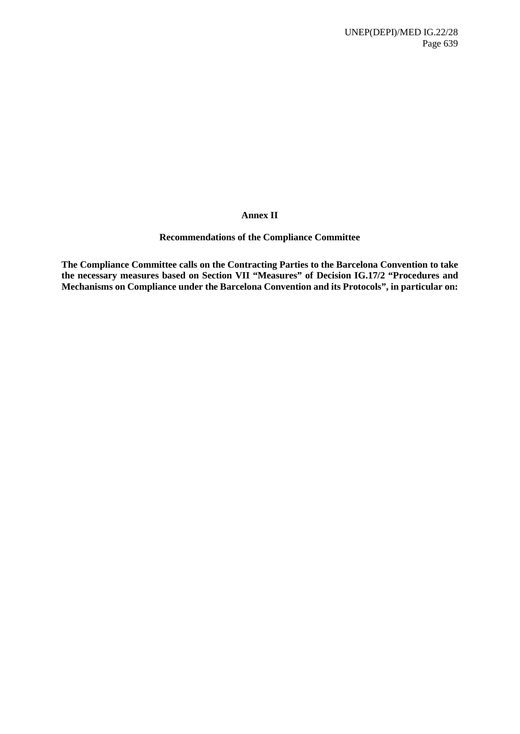### **Annex II**

#### **Recommendations of the Compliance Committee**

**The Compliance Committee calls on the Contracting Parties to the Barcelona Convention to take the necessary measures based on Section VII "Measures" of Decision IG.17/2 "Procedures and Mechanisms on Compliance under the Barcelona Convention and its Protocols", in particular on:**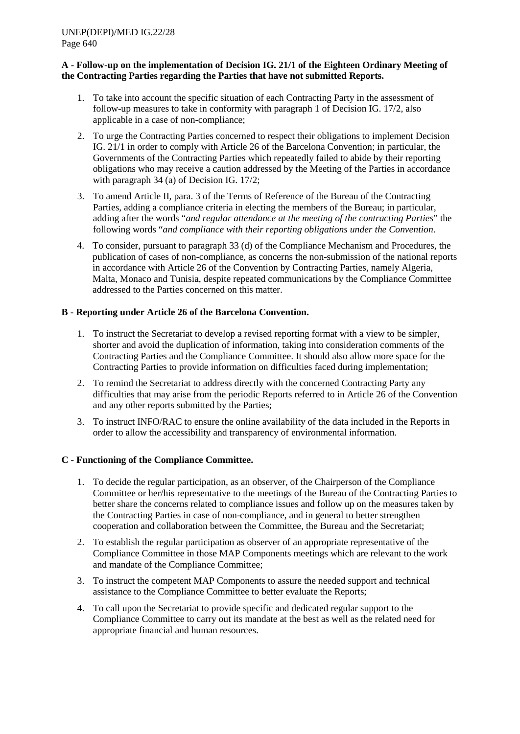### **A - Follow-up on the implementation of Decision IG. 21/1 of the Eighteen Ordinary Meeting of the Contracting Parties regarding the Parties that have not submitted Reports.**

- 1. To take into account the specific situation of each Contracting Party in the assessment of follow-up measures to take in conformity with paragraph 1 of Decision IG. 17/2, also applicable in a case of non-compliance;
- 2. To urge the Contracting Parties concerned to respect their obligations to implement Decision IG. 21/1 in order to comply with Article 26 of the Barcelona Convention; in particular, the Governments of the Contracting Parties which repeatedly failed to abide by their reporting obligations who may receive a caution addressed by the Meeting of the Parties in accordance with paragraph 34 (a) of Decision IG. 17/2;
- 3. To amend Article II, para. 3 of the Terms of Reference of the Bureau of the Contracting Parties, adding a compliance criteria in electing the members of the Bureau; in particular, adding after the words "*and regular attendance at the meeting of the contracting Parties*" the following words "*and compliance with their reporting obligations under the Convention*.
- 4. To consider, pursuant to paragraph 33 (d) of the Compliance Mechanism and Procedures, the publication of cases of non-compliance, as concerns the non-submission of the national reports in accordance with Article 26 of the Convention by Contracting Parties, namely Algeria, Malta, Monaco and Tunisia, despite repeated communications by the Compliance Committee addressed to the Parties concerned on this matter.

# **B - Reporting under Article 26 of the Barcelona Convention.**

- 1. To instruct the Secretariat to develop a revised reporting format with a view to be simpler, shorter and avoid the duplication of information, taking into consideration comments of the Contracting Parties and the Compliance Committee. It should also allow more space for the Contracting Parties to provide information on difficulties faced during implementation;
- 2. To remind the Secretariat to address directly with the concerned Contracting Party any difficulties that may arise from the periodic Reports referred to in Article 26 of the Convention and any other reports submitted by the Parties;
- 3. To instruct INFO/RAC to ensure the online availability of the data included in the Reports in order to allow the accessibility and transparency of environmental information.

# **C - Functioning of the Compliance Committee.**

- 1. To decide the regular participation, as an observer, of the Chairperson of the Compliance Committee or her/his representative to the meetings of the Bureau of the Contracting Parties to better share the concerns related to compliance issues and follow up on the measures taken by the Contracting Parties in case of non-compliance, and in general to better strengthen cooperation and collaboration between the Committee, the Bureau and the Secretariat;
- 2. To establish the regular participation as observer of an appropriate representative of the Compliance Committee in those MAP Components meetings which are relevant to the work and mandate of the Compliance Committee;
- 3. To instruct the competent MAP Components to assure the needed support and technical assistance to the Compliance Committee to better evaluate the Reports;
- 4. To call upon the Secretariat to provide specific and dedicated regular support to the Compliance Committee to carry out its mandate at the best as well as the related need for appropriate financial and human resources.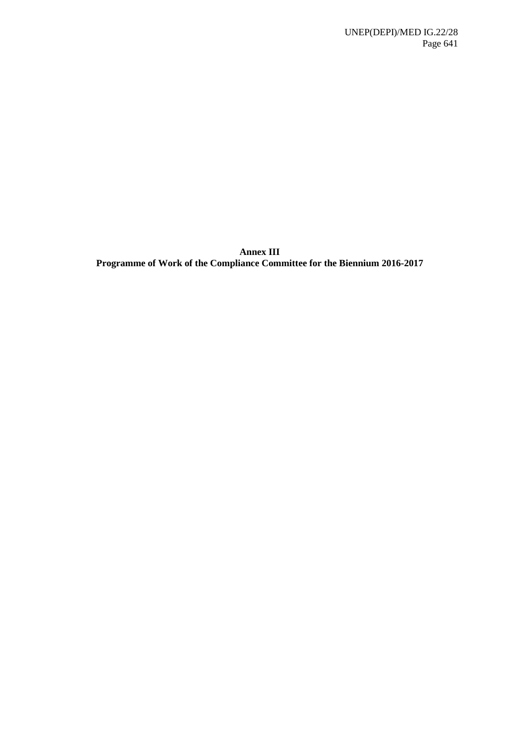**Annex III Programme of Work of the Compliance Committee for the Biennium 2016-2017**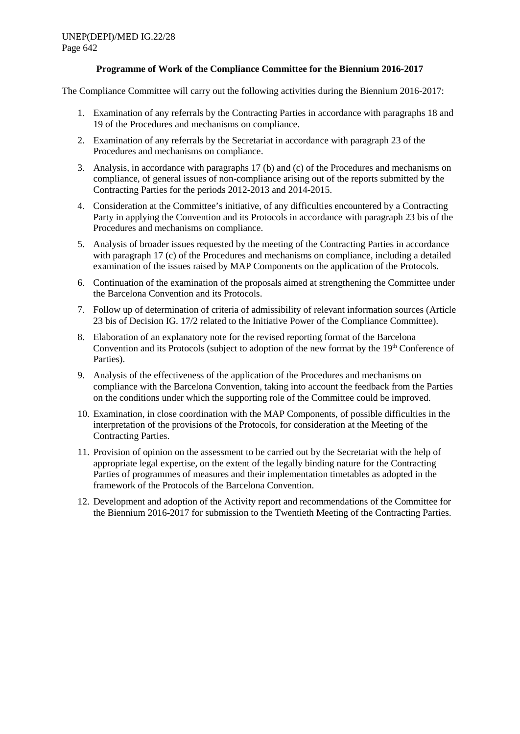### **Programme of Work of the Compliance Committee for the Biennium 2016-2017**

The Compliance Committee will carry out the following activities during the Biennium 2016-2017:

- 1. Examination of any referrals by the Contracting Parties in accordance with paragraphs 18 and 19 of the Procedures and mechanisms on compliance.
- 2. Examination of any referrals by the Secretariat in accordance with paragraph 23 of the Procedures and mechanisms on compliance.
- 3. Analysis, in accordance with paragraphs 17 (b) and (c) of the Procedures and mechanisms on compliance, of general issues of non-compliance arising out of the reports submitted by the Contracting Parties for the periods 2012-2013 and 2014-2015.
- 4. Consideration at the Committee's initiative, of any difficulties encountered by a Contracting Party in applying the Convention and its Protocols in accordance with paragraph 23 bis of the Procedures and mechanisms on compliance.
- 5. Analysis of broader issues requested by the meeting of the Contracting Parties in accordance with paragraph 17 (c) of the Procedures and mechanisms on compliance, including a detailed examination of the issues raised by MAP Components on the application of the Protocols.
- 6. Continuation of the examination of the proposals aimed at strengthening the Committee under the Barcelona Convention and its Protocols.
- 7. Follow up of determination of criteria of admissibility of relevant information sources (Article 23 bis of Decision IG. 17/2 related to the Initiative Power of the Compliance Committee).
- 8. Elaboration of an explanatory note for the revised reporting format of the Barcelona Convention and its Protocols (subject to adoption of the new format by the 19<sup>th</sup> Conference of Parties).
- 9. Analysis of the effectiveness of the application of the Procedures and mechanisms on compliance with the Barcelona Convention, taking into account the feedback from the Parties on the conditions under which the supporting role of the Committee could be improved.
- 10. Examination, in close coordination with the MAP Components, of possible difficulties in the interpretation of the provisions of the Protocols, for consideration at the Meeting of the Contracting Parties.
- 11. Provision of opinion on the assessment to be carried out by the Secretariat with the help of appropriate legal expertise, on the extent of the legally binding nature for the Contracting Parties of programmes of measures and their implementation timetables as adopted in the framework of the Protocols of the Barcelona Convention.
- 12. Development and adoption of the Activity report and recommendations of the Committee for the Biennium 2016-2017 for submission to the Twentieth Meeting of the Contracting Parties.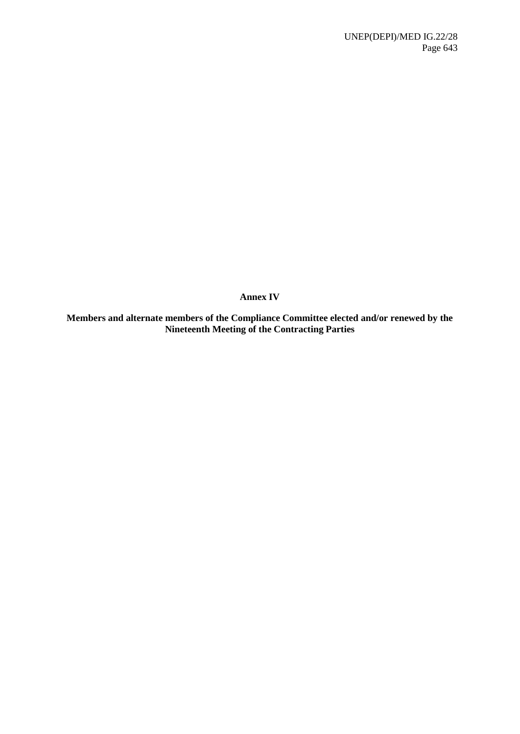**Annex IV**

**Members and alternate members of the Compliance Committee elected and/or renewed by the Nineteenth Meeting of the Contracting Parties**